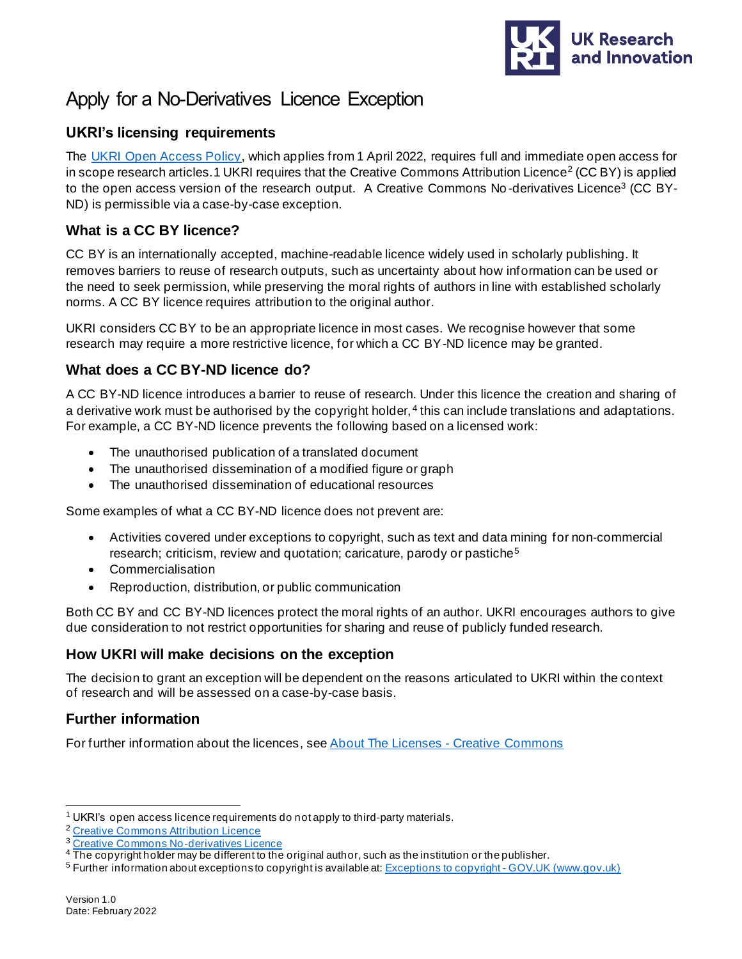

# Apply for a No-Derivatives Licence Exception

## **UKRI's licensing requirements**

The [UKRI Open Access Policy](https://www.ukri.org/publications/ukri-open-access-policy/), which applies from 1 April 2022, requires full and immediate open access for in scope research articles. 1 UKRI requires that the Creative Commons Attribution Licence<sup>2</sup> (CC BY) is applied to the open access version of the research output. A Creative Commons No-derivatives Licence<sup>3</sup> (CC BY-ND) is permissible via a case-by-case exception.

## **What is a CC BY licence?**

CC BY is an internationally accepted, machine-readable licence widely used in scholarly publishing. It removes barriers to reuse of research outputs, such as uncertainty about how information can be used or the need to seek permission, while preserving the moral rights of authors in line with established scholarly norms. A CC BY licence requires attribution to the original author.

UKRI considers CC BY to be an appropriate licence in most cases. We recognise however that some research may require a more restrictive licence, for which a CC BY-ND licence may be granted.

## **What does a CC BY-ND licence do?**

A CC BY-ND licence introduces a barrier to reuse of research. Under this licence the creation and sharing of a derivative work must be authorised by the copyright holder, <sup>4</sup> this can include translations and adaptations. For example, a CC BY-ND licence prevents the following based on a licensed work:

- The unauthorised publication of a translated document
- The unauthorised dissemination of a modified figure or graph
- The unauthorised dissemination of educational resources

Some examples of what a CC BY-ND licence does not prevent are:

- Activities covered under exceptions to copyright, such as text and data mining for non-commercial research; criticism, review and quotation; caricature, parody or pastiche<sup>5</sup>
- Commercialisation
- Reproduction, distribution, or public communication

Both CC BY and CC BY-ND licences protect the moral rights of an author. UKRI encourages authors to give due consideration to not restrict opportunities for sharing and reuse of publicly funded research.

## **How UKRI will make decisions on the exception**

The decision to grant an exception will be dependent on the reasons articulated to UKRI within the context of research and will be assessed on a case-by-case basis.

## **Further information**

For further information about the licences, see [About The Licenses -](https://creativecommons.org/licenses/) Creative Commons

 $1$  UKRI's open access licence requirements do not apply to third-party materials.

<sup>&</sup>lt;sup>2</sup> [Creative Commons Attribution Licence](https://creativecommons.org/licenses/by/4.0/)

<sup>3</sup> [Creative Commons No-derivatives Licence](https://creativecommons.org/licenses/by-nd/2.0/)

<sup>&</sup>lt;sup>4</sup> The copyright holder may be different to the original author, such as the institution or the publisher.

<sup>5</sup> Further information about exceptions to copyright is available at[: Exceptions to copyright -](https://www.gov.uk/guidance/exceptions-to-copyright) GOV.UK (www.gov.uk)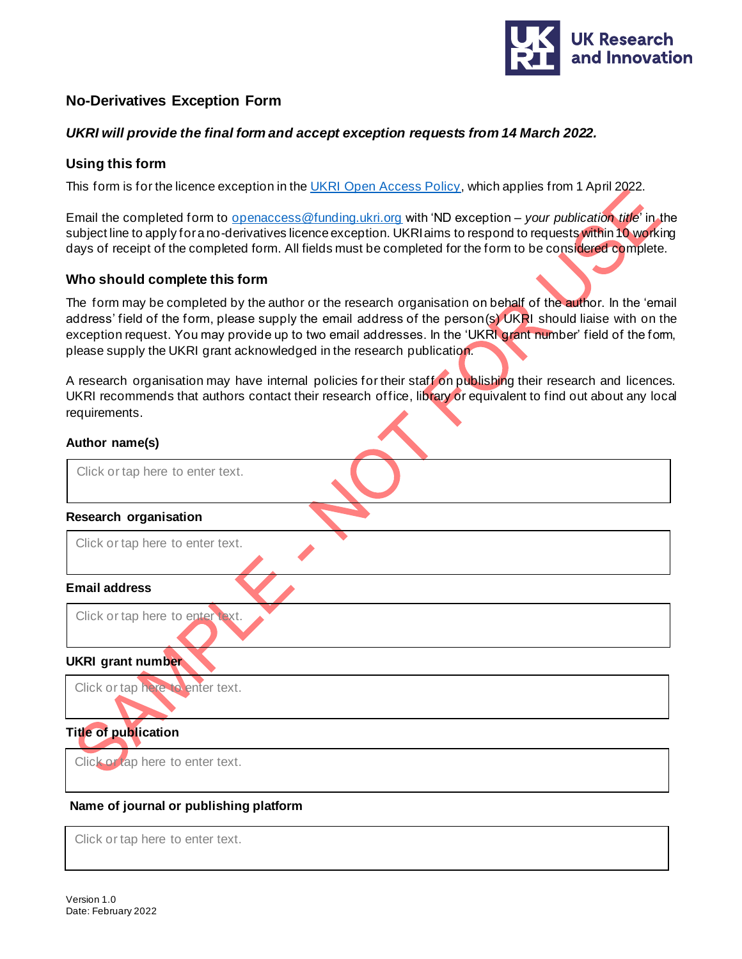

## **No-Derivatives Exception Form**

### *UKRI will provide the final form and accept exception requests from 14 March 2022.*

#### **Using this form**

This form is for the licence exception in the [UKRI Open Access Policy](https://www.ukri.org/publications/ukri-open-access-policy/), which applies from 1 April 2022.

Email the completed form to [openaccess@funding.ukri.org](mailto:%3Copenaccess@funding.ukri.org) with 'ND exception – *your publication title*' in the subject line to apply for a no-derivatives licence exception. UKRI aims to respond to requests within 10 working days of receipt of the completed form. All fields must be completed for the form to be considered complete.

#### **Who should complete this form**

The form may be completed by the author or the research organisation on behalf of the author. In the 'email address' field of the form, please supply the email address of the person(s) UKRI should liaise with on the exception request. You may provide up to two email addresses. In the 'UKRI grant number' field of the form, please supply the UKRI grant acknowledged in the research publication.

A research organisation may have internal policies for their staff on publishing their research and licences. UKRI recommends that authors contact their research office, library or equivalent to find out about any local requirements.

#### **Author name(s)**

| Click or tap here to enter text.       |
|----------------------------------------|
| Research organisation                  |
| Click or tap here to enter text.       |
| <b>Email address</b>                   |
| Click or tap here to enter text.       |
| <b>UKRI</b> grant number               |
| Click or tap here to enter text.       |
| <b>Title of publication</b>            |
| Click or tap here to enter text.       |
| Name of journal or publishing platform |

Click or tap here to enter text.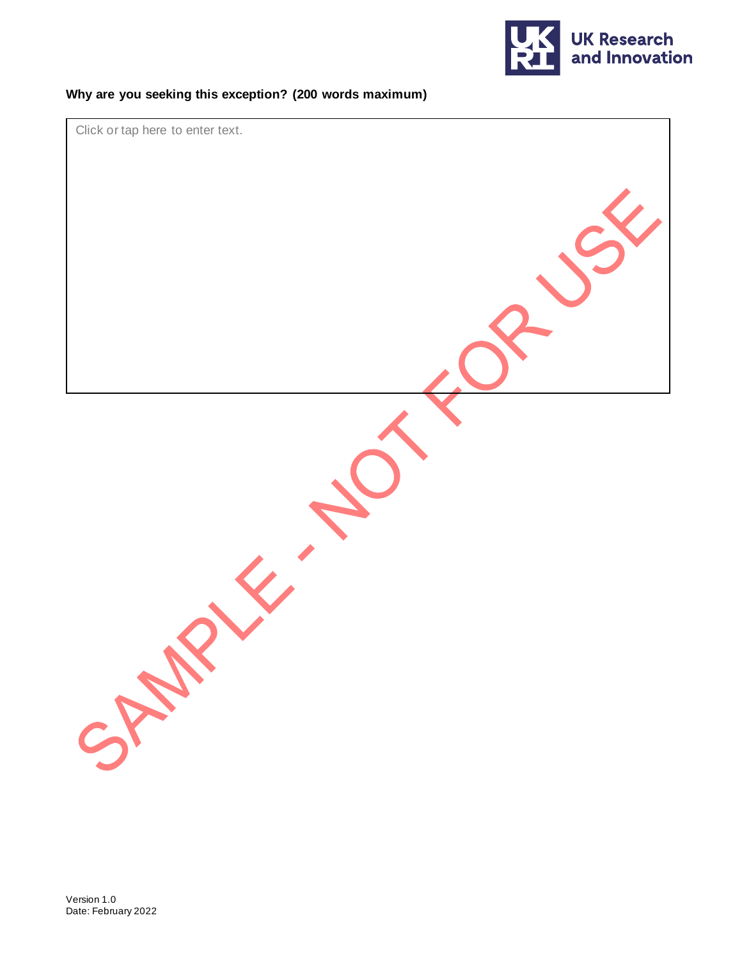

## **Why are you seeking this exception? (200 words maximum)**

Click or tap here to enter text.